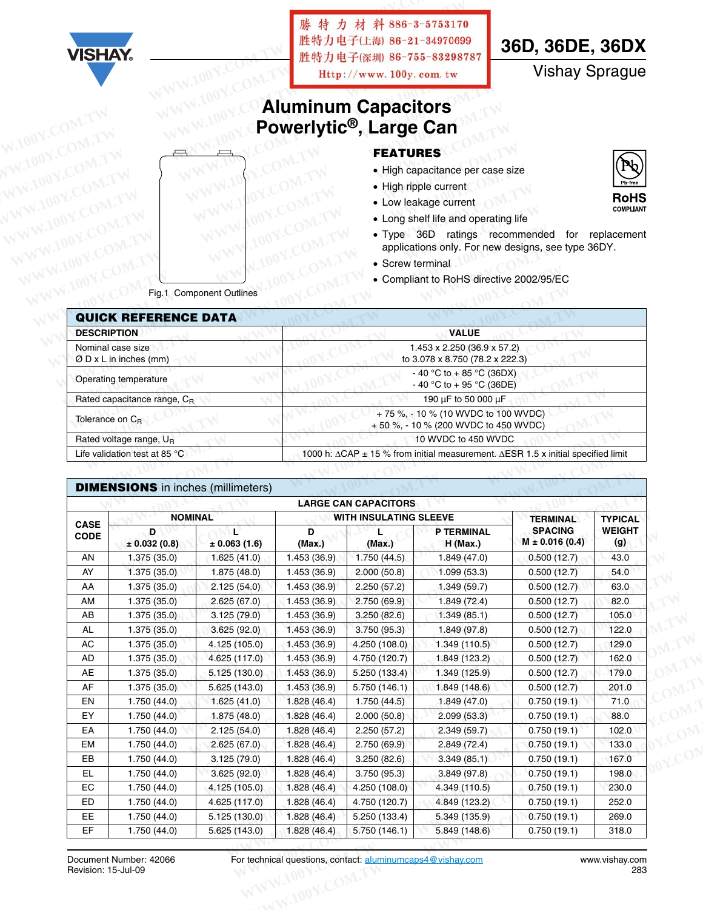|                             |                                           |                                 | 勝特力材                   |                                     | 料 886-3-5753170                                              |                                                                                  |                |
|-----------------------------|-------------------------------------------|---------------------------------|------------------------|-------------------------------------|--------------------------------------------------------------|----------------------------------------------------------------------------------|----------------|
|                             |                                           |                                 |                        | 胜特力电子(上海) 86-21-34970699            |                                                              |                                                                                  |                |
| <b>VISHAY</b>               |                                           |                                 |                        | 胜特力电子(深圳 86-755-83298787            |                                                              | 36D, 36DE, 36DX                                                                  |                |
|                             |                                           |                                 |                        | Http://www.100y.com.tw              |                                                              | <b>Vishay Sprague</b>                                                            |                |
|                             |                                           |                                 |                        |                                     |                                                              |                                                                                  |                |
|                             |                                           |                                 |                        | <b>Aluminum Capacitors</b>          |                                                              |                                                                                  |                |
|                             |                                           |                                 |                        | Powerlytic <sup>®</sup> , Large Can |                                                              |                                                                                  |                |
|                             |                                           |                                 |                        | <b>FEATURES</b>                     |                                                              |                                                                                  |                |
|                             |                                           |                                 |                        |                                     | • High capacitance per case size                             |                                                                                  |                |
|                             |                                           |                                 |                        |                                     | • High ripple current                                        |                                                                                  |                |
|                             |                                           |                                 |                        |                                     | • Low leakage current                                        |                                                                                  | <b>RoHS</b>    |
|                             |                                           |                                 |                        |                                     | • Long shelf life and operating life                         |                                                                                  | COMPLIANT      |
|                             |                                           |                                 |                        |                                     |                                                              | · Type 36D ratings recommended for replacement                                   |                |
|                             |                                           |                                 |                        |                                     |                                                              | applications only. For new designs, see type 36DY.                               |                |
|                             |                                           |                                 |                        | • Screw terminal                    |                                                              |                                                                                  |                |
|                             |                                           |                                 |                        |                                     |                                                              |                                                                                  |                |
|                             |                                           |                                 |                        |                                     |                                                              | • Compliant to RoHS directive 2002/95/EC                                         |                |
|                             |                                           | Fig.1 Component Outlines        |                        |                                     |                                                              |                                                                                  |                |
|                             | <b>QUICK REFERENCE DATA</b>               |                                 |                        |                                     |                                                              |                                                                                  |                |
| <b>DESCRIPTION</b>          |                                           |                                 |                        |                                     | <b>VALUE</b>                                                 |                                                                                  |                |
|                             | Nominal case size                         |                                 |                        |                                     | 1.453 x 2.250 (36.9 x 57.2)                                  |                                                                                  |                |
|                             | $\varnothing$ D x L in inches (mm)        |                                 |                        |                                     | to 3.078 x 8.750 (78.2 x 222.3)<br>- 40 °C to + 85 °C (36DX) |                                                                                  |                |
|                             | Operating temperature                     |                                 |                        |                                     | - 40 °C to + 95 °C (36DE)                                    |                                                                                  |                |
|                             | Rated capacitance range, CR               |                                 |                        |                                     | 190 μF to 50 000 μF                                          |                                                                                  |                |
| Tolerance on C <sub>R</sub> |                                           |                                 |                        |                                     | +75%, -10% (10 WVDC to 100 WVDC)                             |                                                                                  |                |
|                             | Rated voltage range, UR                   |                                 |                        |                                     | +50 %, -10 % (200 WVDC to 450 WVDC)<br>10 WVDC to 450 WVDC   |                                                                                  |                |
|                             | Life validation test at 85 °C             |                                 |                        |                                     |                                                              | 1000 h: ΔCAP ± 15 % from initial measurement. ΔESR 1.5 x initial specified limit |                |
|                             |                                           |                                 |                        |                                     |                                                              |                                                                                  |                |
|                             | <b>DIMENSIONS</b> in inches (millimeters) |                                 |                        |                                     |                                                              |                                                                                  |                |
|                             |                                           |                                 |                        | <b>LARGE CAN CAPACITORS</b>         |                                                              |                                                                                  |                |
|                             | <b>NOMINAL</b>                            |                                 |                        | WITH INSULATING SLEEVE              |                                                              | <b>TERMINAL</b>                                                                  | <b>TYPICAL</b> |
| <b>CASE</b><br><b>CODE</b>  | D                                         | Ľ                               | D                      | L                                   | P TERMINAL                                                   | <b>SPACING</b><br>$M \pm 0.016(0.4)$                                             | <b>WEIGHT</b>  |
| AN                          | $\pm$ 0.032 (0.8)<br>1.375 (35.0)         | $\pm 0.063(1.6)$<br>1.625(41.0) | (Max.)<br>1.453 (36.9) | (Max.)<br>1.750 (44.5)              | <b>H</b> (Max.)<br>1.849 (47.0)                              | 0.500(12.7)                                                                      | (g)<br>43.0    |
| AY                          | 1.375(35.0)                               | 1.875 (48.0)                    | 1.453(36.9)            | 2.000(50.8)                         | 1.099(53.3)                                                  | 0.500(12.7)                                                                      | 54.0           |
| AA                          | 1.375(35.0)                               | 2.125(54.0)                     | 1.453(36.9)            | 2.250(57.2)                         | 1.349 (59.7)                                                 | 0.500(12.7)                                                                      | 63.0           |
| AM                          | 1.375 (35.0)                              | 2.625(67.0)                     | 1.453(36.9)            | 2.750 (69.9)                        | 1.849 (72.4)                                                 | 0.500(12.7)                                                                      | 82.0           |

|                            |                        |                        |              | <b>LARGE CAN CAPACITORS</b>   |                          |                                      |                      |
|----------------------------|------------------------|------------------------|--------------|-------------------------------|--------------------------|--------------------------------------|----------------------|
|                            | <b>NOMINAL</b>         |                        |              | <b>WITH INSULATING SLEEVE</b> |                          | <b>TERMINAL</b>                      | <b>TYPICAL</b>       |
| <b>CASE</b><br><b>CODE</b> | D<br>$\pm$ 0.032 (0.8) | ₽<br>$\pm$ 0.063 (1.6) | D<br>(Max.)  | (Max.)                        | P TERMINAL<br>$H$ (Max.) | <b>SPACING</b><br>$M \pm 0.016(0.4)$ | <b>WEIGHT</b><br>(g) |
| AN                         | 1.375(35.0)            | 1.625(41.0)            | 1.453(36.9)  | 1.750(44.5)                   | 1.849(47.0)              | 0.500(12.7)                          | 43.0                 |
| AY                         | 1.375(35.0)            | 1.875(48.0)            | 1.453(36.9)  | 2.000(50.8)                   | 1.099(53.3)              | 0.500(12.7)                          | 54.0                 |
| AA                         | 1.375(35.0)            | 2.125(54.0)            | 1.453(36.9)  | 2.250(57.2)                   | 1.349(59.7)              | 0.500(12.7)                          | 63.0                 |
| AM                         | 1.375(35.0)            | 2.625(67.0)            | 1.453(36.9)  | 2.750 (69.9)                  | 1.849(72.4)              | 0.500(12.7)                          | 82.0                 |
| AB                         | 1.375(35.0)            | 3.125(79.0)            | 1.453 (36.9) | 3.250(82.6)                   | 1.349(85.1)              | 0.500(12.7)                          | 105.0                |
| AL                         | 1.375(35.0)            | 3.625(92.0)            | 1.453(36.9)  | 3.750(95.3)                   | 1.849 (97.8)             | 0.500(12.7)                          | 122.0                |
| AC                         | 1.375(35.0)            | 4.125 (105.0)          | 1.453 (36.9) | 4.250 (108.0)                 | 1.349(110.5)             | 0.500(12.7)                          | 129.0                |
| AD                         | 1.375(35.0)            | 4.625 (117.0)          | 1.453 (36.9) | 4.750 (120.7)                 | 1.849 (123.2)            | 0.500(12.7)                          | 162.0                |
| <b>AE</b>                  | 1.375(35.0)            | 5.125 (130.0)          | 1.453(36.9)  | 5.250 (133.4)                 | 1.349 (125.9)            | 0.500(12.7)                          | 179.0                |
| AF                         | 1.375(35.0)            | 5.625 (143.0)          | 1.453(36.9)  | 5.750 (146.1)                 | 1.849(148.6)             | 0.500(12.7)                          | 201.0                |
| EN                         | 1.750(44.0)            | 1.625(41.0)            | 1.828(46.4)  | 1.750 (44.5)                  | 1.849(47.0)              | 0.750(19.1)                          | 71.0                 |
| EY                         | 1.750(44.0)            | 1.875(48.0)            | 1.828(46.4)  | 2.000(50.8)                   | 2.099(53.3)              | 0.750(19.1)                          | 88.0                 |
| EA                         | 1.750(44.0)            | 2.125(54.0)            | 1.828(46.4)  | 2.250(57.2)                   | 2.349(59.7)              | 0.750(19.1)                          | 102.0                |
| EM                         | 1.750(44.0)            | 2.625(67.0)            | 1.828(46.4)  | 2.750 (69.9)                  | 2.849(72.4)              | 0.750(19.1)                          | 133.0                |
| EB                         | 1.750(44.0)            | 3.125(79.0)            | 1.828(46.4)  | 3.250(82.6)                   | 3.349(85.1)              | 0.750(19.1)                          | 167.0                |
| EL                         | 1.750(44.0)            | 3.625(92.0)            | 1.828(46.4)  | 3.750 (95.3)                  | 3.849(97.8)              | 0.750(19.1)                          | 198.0                |
| EC                         | 1.750(44.0)            | 4.125 (105.0)          | 1.828(46.4)  | 4.250 (108.0)                 | 4.349 (110.5)            | 0.750(19.1)                          | 230.0                |
| <b>ED</b>                  | 1.750(44.0)            | 4.625 (117.0)          | 1.828(46.4)  | 4.750 (120.7)                 | 4.849 (123.2)            | 0.750(19.1)                          | 252.0                |
| EE.                        | 1.750(44.0)            | 5.125(130.0)           | 1.828(46.4)  | 5.250 (133.4)                 | 5.349 (135.9)            | 0.750(19.1)                          | 269.0                |
| EF                         | 1.750(44.0)            | 5.625 (143.0)          | 1.828(46.4)  | 5.750 (146.1)                 | 5.849 (148.6)            | 0.750(19.1)                          | 318.0                |
|                            |                        |                        |              |                               |                          |                                      |                      |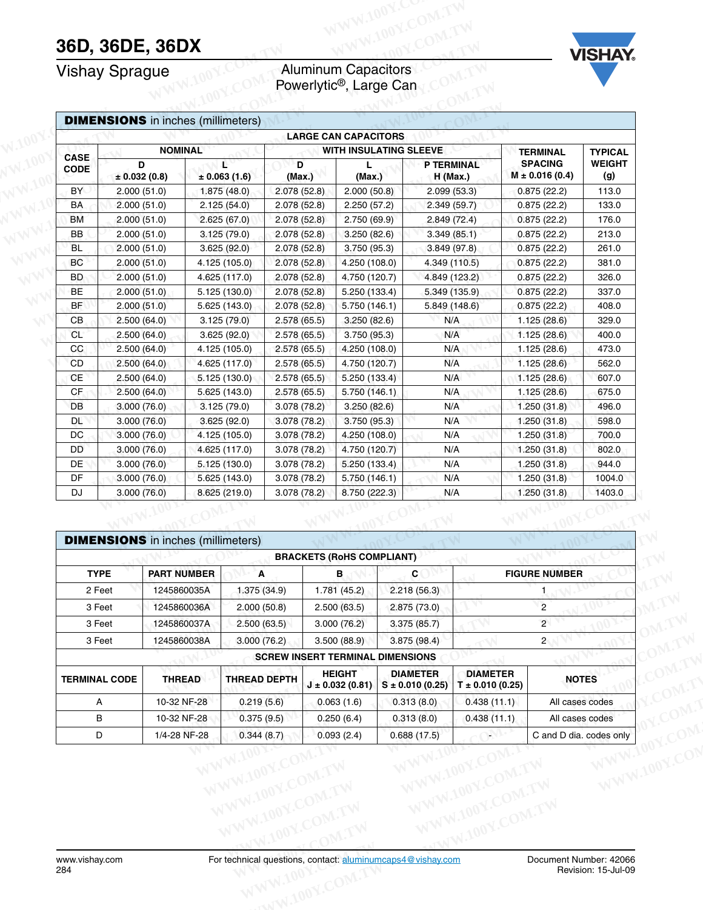## **36D, 36DE, 36DX**<br>Vishay Sprague

#### Vishay Sprague **Aluminum Capacitors** Powerlytic®, Large Can



|                            | <b>Vishay Sprague</b>                     |                        |              | <b>Aluminum Capacitors</b><br>Powerlytic <sup>®</sup> , Large Can |                               |                                      |                      |
|----------------------------|-------------------------------------------|------------------------|--------------|-------------------------------------------------------------------|-------------------------------|--------------------------------------|----------------------|
|                            | <b>DIMENSIONS</b> in inches (millimeters) |                        |              |                                                                   |                               |                                      |                      |
|                            |                                           |                        |              | <b>LARGE CAN CAPACITORS</b>                                       |                               |                                      |                      |
|                            | <b>NOMINAL</b>                            |                        |              | <b>WITH INSULATING SLEEVE</b>                                     |                               | <b>TERMINAL</b>                      | <b>TYPICAL</b>       |
| <b>CASE</b><br><b>CODE</b> | D<br>$\pm$ 0.032 (0.8)                    | r.<br>$\pm 0.063(1.6)$ | D<br>(Max.)  | (Max.)                                                            | <b>P TERMINAL</b><br>H (Max.) | <b>SPACING</b><br>$M \pm 0.016(0.4)$ | <b>WEIGHT</b><br>(g) |
| BY                         | 2.000(51.0)                               | 1.875 (48.0)           | 2.078 (52.8) | 2.000(50.8)                                                       | 2.099(53.3)                   | 0.875(22.2)                          | 113.0                |
| <b>BA</b>                  | 2.000(51.0)                               | 2.125(54.0)            | 2.078 (52.8) | 2.250(57.2)                                                       | 2.349(59.7)                   | 0.875(22.2)                          | 133.0                |
| BM                         | 2.000(51.0)                               | 2.625(67.0)            | 2.078(52.8)  | 2.750 (69.9)                                                      | 2.849 (72.4)                  | 0.875(22.2)                          | 176.0                |
| BB                         | 2.000(51.0)                               | 3.125(79.0)            | 2.078(52.8)  | 3.250(82.6)                                                       | 3.349(85.1)                   | 0.875(22.2)                          | 213.0                |
| <b>BL</b>                  | 2.000(51.0)                               | 3.625 (92.0)           | 2.078(52.8)  | 3.750 (95.3)                                                      | 3.849 (97.8)                  | 0.875(22.2)                          | 261.0                |
| BC                         | 2.000(51.0)                               | 4.125 (105.0)          | 2.078(52.8)  | 4.250 (108.0)                                                     | 4.349 (110.5)                 | 0.875(22.2)                          | 381.0                |
| BD                         | 2.000(51.0)                               | 4.625 (117.0)          | 2.078 (52.8) | 4.750 (120.7)                                                     | 4.849 (123.2)                 | 0.875(22.2)                          | 326.0                |
| BE                         | 2.000(51.0)                               | 5.125 (130.0)          | 2.078 (52.8) | 5.250 (133.4)                                                     | 5.349 (135.9)                 | 0.875(22.2)                          | 337.0                |
| <b>BF</b>                  | 2.000(51.0)                               | 5.625 (143.0)          | 2.078(52.8)  | 5.750 (146.1)                                                     | 5.849 (148.6)                 | 0.875(22.2)                          | 408.0                |
| CВ                         | 2.500(64.0)                               | 3.125(79.0)            | 2.578 (65.5) | 3.250(82.6)                                                       | N/A                           | 1.125 (28.6)                         | 329.0                |
| <b>CL</b>                  | 2.500(64.0)                               | 3.625 (92.0)           | 2.578(65.5)  | 3.750 (95.3)                                                      | N/A                           | 1.125(28.6)                          | 400.0                |
| $_{\rm CC}$                | 2.500(64.0)                               | 4.125 (105.0)          | 2.578(65.5)  | 4.250 (108.0)                                                     | N/A                           | 1.125(28.6)                          | 473.0                |
| CD                         | 2.500(64.0)                               | 4.625 (117.0)          | 2.578 (65.5) | 4.750 (120.7)                                                     | N/A                           | 1.125(28.6)                          | 562.0                |
| <b>CE</b>                  | 2.500(64.0)                               | 5.125(130.0)           | 2.578(65.5)  | 5.250 (133.4)                                                     | N/A                           | 1.125(28.6)                          | 607.0                |
| CF                         | 2.500(64.0)                               | 5.625 (143.0)          | 2.578(65.5)  | 5.750 (146.1)                                                     | N/A                           | 1.125(28.6)                          | 675.0                |
| DB                         | 3.000(76.0)                               | 3.125(79.0)            | 3.078 (78.2) | 3.250(82.6)                                                       | N/A                           | 1.250(31.8)                          | 496.0                |
| ÐL                         | 3.000(76.0)                               | 3.625(92.0)            | 3.078 (78.2) | 3.750 (95.3)                                                      | N/A                           | 1.250(31.8)                          | 598.0                |
| DC                         | 3.000(76.0)                               | 4.125 (105.0)          | 3.078 (78.2) | 4.250 (108.0)                                                     | N/A                           | 1.250 (31.8)                         | 700.0                |
| DD                         | 3.000(76.0)                               | 4.625 (117.0)          | 3.078 (78.2) | 4.750 (120.7)                                                     | N/A                           | 1.250(31.8)                          | 802.0                |
| DE                         | 3.000(76.0)                               | 5.125 (130.0)          | 3.078 (78.2) | 5.250 (133.4)                                                     | N/A                           | 1.250 (31.8)                         | 944.0                |
| DF                         | 3.000(76.0)                               | 5.625 (143.0)          | 3.078 (78.2) | 5.750 (146.1)                                                     | N/A                           | 1.250 (31.8)                         | 1004.0               |
| DJ                         | 3.000(76.0)                               | 8.625 (219.0)          | 3.078 (78.2) | 8.750 (222.3)                                                     | N/A                           | 1.250(31.8)                          | 1403.0               |
|                            | <b>DIMENSIONS</b> in inches (millimeters) |                        |              |                                                                   |                               |                                      |                      |
|                            |                                           |                        |              | <b>BRACKETS (RoHS COMPLIANT)</b>                                  |                               |                                      |                      |
| <b>TYPE</b>                |                                           | <b>PART NUMBER</b>     | Α            | в                                                                 | C                             | <b>FIGURE NUMBER</b>                 |                      |
|                            |                                           |                        | 1.375(34.9)  | 1.781(45.2)                                                       | 2.218(56.3)                   |                                      |                      |
| 2 Feet                     |                                           | 1245860035A            |              |                                                                   |                               |                                      |                      |

| DC                                        | 3.000(76.0) |                                                                 | 4.125 (105.0)                                                                                | 3.078 (78.2) |  | 4.250 (108.0)                                                                      |     |                                                            | N/A                                    |             | 1.250(31.8)                                                   | 700.0                   |
|-------------------------------------------|-------------|-----------------------------------------------------------------|----------------------------------------------------------------------------------------------|--------------|--|------------------------------------------------------------------------------------|-----|------------------------------------------------------------|----------------------------------------|-------------|---------------------------------------------------------------|-------------------------|
| DD                                        | 3.000(76.0) |                                                                 | 4.625 (117.0)                                                                                | 3.078 (78.2) |  | 4.750 (120.7)                                                                      |     |                                                            | N/A                                    |             | 1.250(31.8)                                                   | 802.0                   |
| DE <sup>-</sup>                           | 3.000(76.0) |                                                                 | 5.125 (130.0)                                                                                | 3.078 (78.2) |  | 5.250 (133.4)                                                                      |     |                                                            | N/A                                    |             | 1.250 (31.8)                                                  | 944.0                   |
| DF                                        | 3.000(76.0) |                                                                 | 5.625 (143.0)                                                                                | 3.078 (78.2) |  | 5.750 (146.1)                                                                      |     | N/A                                                        |                                        |             | 1.250(31.8)                                                   | 1004.0                  |
| DJ                                        | 3.000(76.0) |                                                                 | 8.625 (219.0)                                                                                | 3.078 (78.2) |  | 8.750 (222.3)                                                                      | N/A |                                                            |                                        | 1.250(31.8) | 1403.0                                                        |                         |
| <b>TYPE</b><br>2 Feet<br>3 Feet<br>3 Feet |             | <b>PART NUMBER</b><br>1245860035A<br>1245860036A<br>1245860037A | <b>DIMENSIONS</b> in inches (millimeters)<br>A<br>1.375 (34.9)<br>2.000(50.8)<br>2.500(63.5) |              |  | <b>BRACKETS (RoHS COMPLIANT)</b><br>в<br>1.781(45.2)<br>2.500(63.5)<br>3.000(76.2) |     | C<br>2.218(56.3)<br>2.875(73.0)<br>3.375(85.7)             |                                        |             | <b>FIGURE NUMBER</b><br>1<br>$\overline{c}$<br>$\overline{2}$ |                         |
| 3 Feet                                    |             | 1245860038A                                                     | 3.000(76.2)                                                                                  |              |  | 3.500(88.9)                                                                        |     | 3.875(98.4)                                                |                                        |             | 2 <sub>1</sub>                                                |                         |
|                                           |             |                                                                 |                                                                                              |              |  | <b>SCREW INSERT TERMINAL DIMENSIONS</b>                                            |     |                                                            |                                        |             |                                                               |                         |
| <b>TERMINAL CODE</b>                      |             | <b>THREAD</b>                                                   | <b>THREAD DEPTH</b>                                                                          |              |  | <b>HEIGHT</b><br>$J \pm 0.032(0.81)$                                               |     | <b>DIAMETER</b><br>$S \pm 0.010$ (0.25)                    | <b>DIAMETER</b><br>$T \pm 0.010(0.25)$ |             |                                                               | <b>NOTES</b>            |
| A                                         |             | 10-32 NF-28                                                     | 0.219(5.6)                                                                                   |              |  | 0.063(1.6)                                                                         |     | 0.313(8.0)                                                 | 0.438(11.1)                            |             |                                                               | All cases codes         |
| в                                         |             | 10-32 NF-28                                                     | 0.375(9.5)                                                                                   |              |  | 0.250(6.4)                                                                         |     | 0.313(8.0)                                                 | 0.438(11.1)                            |             |                                                               | All cases codes         |
| $\mathsf D$                               |             | 1/4-28 NF-28                                                    | 0.344(8.7)                                                                                   |              |  | 0.093(2.4)                                                                         |     | 0.688(17.5)                                                |                                        |             |                                                               | C and D dia. codes only |
|                                           |             |                                                                 |                                                                                              |              |  |                                                                                    |     |                                                            | W.100Y.COM.T<br>OOY.COM.TW             |             |                                                               | WWW.100Y.C              |
| www.vishay.com<br>284                     |             |                                                                 |                                                                                              |              |  |                                                                                    |     | For technical questions, contact: aluminumcaps4@vishav.com |                                        |             | Document Number: 42066                                        | Revision: 15-Jul-09     |
|                                           |             |                                                                 |                                                                                              |              |  |                                                                                    |     |                                                            |                                        |             |                                                               |                         |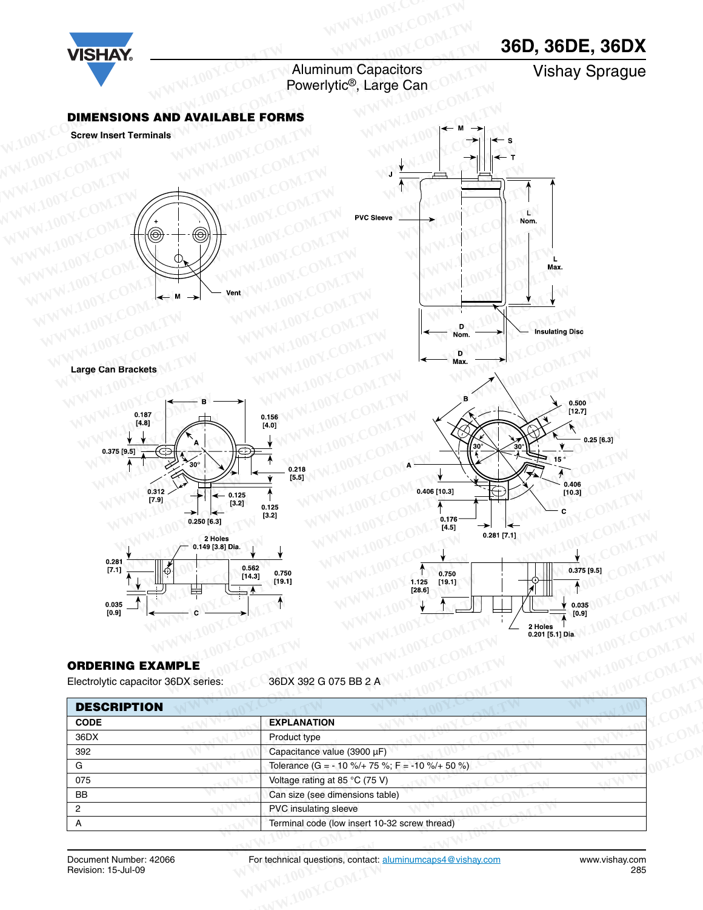## **36D, 36DE, 36DX**



Aluminum Capacitors **Aluminum Capacitors**<br> **Powerlytic<sup>®</sup>, Large Can Vishay Sprague** 

#### **DIMENSIONS AND AVAILABLE FORMS**

**Screw Insert Terminals**



**Large Can Brackets**







#### **ORDERING EXAMPLE**

| ₩<br>$\begin{array}{c} 0.035 \ [0.9] \end{array}$              | [28.6]<br>0.035<br>[0.9]<br>2 Holes<br>0.201 [5.1] Dia.                             |
|----------------------------------------------------------------|-------------------------------------------------------------------------------------|
| <b>ORDERING EXAMPLE</b><br>Electrolytic capacitor 36DX series: | 36DX 392 G 075 BB 2 A                                                               |
| <b>DESCRIPTION</b>                                             |                                                                                     |
| <b>CODE</b>                                                    | <b>EXPLANATION</b>                                                                  |
| 36DX                                                           | Product type                                                                        |
| 392                                                            | Capacitance value (3900 µF)                                                         |
| G                                                              | Tolerance (G = - 10 %/+ 75 %; F = -10 %/+ 50 %)                                     |
| 075                                                            | Voltage rating at 85 °C (75 V)                                                      |
| BB                                                             | Can size (see dimensions table)                                                     |
| 2                                                              | PVC insulating sleeve                                                               |
| $\mathsf{A}$                                                   | Terminal code (low insert 10-32 screw thread)                                       |
|                                                                |                                                                                     |
| Document Number: 42066<br>Revision: 15-Jul-09                  | For technical questions, contact: aluminumcaps4@vishay.com<br>www.vishay.com<br>285 |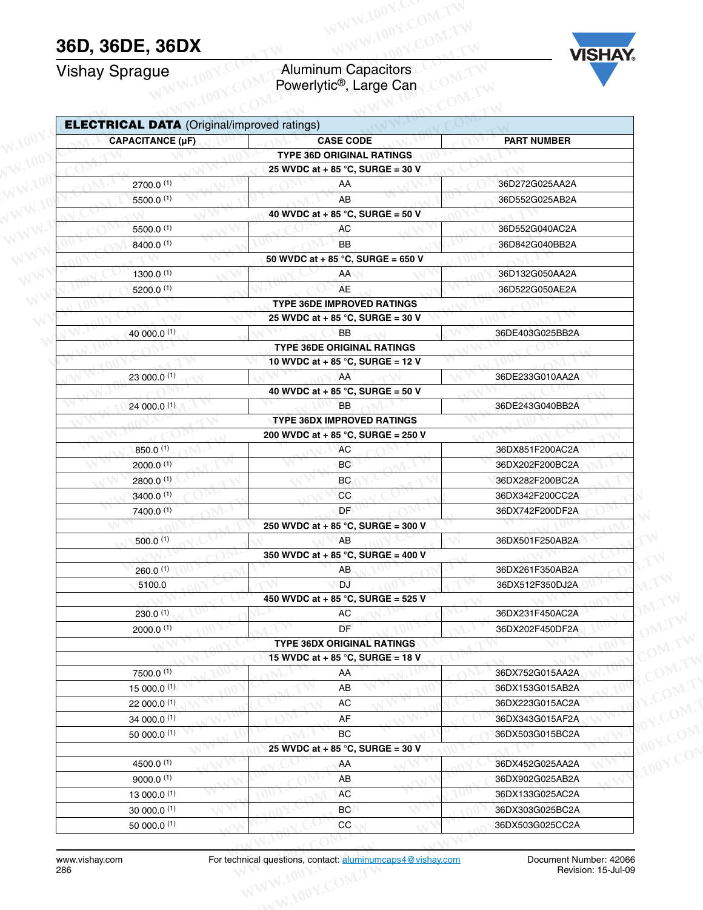## **36D, 36DE, 36DX**

#### Vishay Sprague **Aluminum Capacitors** Powerlytic®, Large Can



| <b>Vishay Sprague</b>                              | <b>Aluminum Capacitors</b><br>Powerlytic <sup>®</sup> , Large Can | <b>VISHAY</b>                      |
|----------------------------------------------------|-------------------------------------------------------------------|------------------------------------|
| <b>ELECTRICAL DATA (Original/improved ratings)</b> |                                                                   |                                    |
| <b>CAPACITANCE (µF)</b>                            | <b>CASE CODE</b>                                                  | <b>PART NUMBER</b>                 |
|                                                    | <b>TYPE 36D ORIGINAL RATINGS</b>                                  |                                    |
|                                                    | 25 WVDC at + 85 °C, SURGE = 30 V                                  |                                    |
| 2700.0(1)                                          | AA                                                                | 36D272G025AA2A                     |
| 5500.0 (1)                                         | AB                                                                | 36D552G025AB2A                     |
|                                                    | 40 WVDC at + 85 °C, SURGE = 50 V                                  |                                    |
| 5500.0 (1)                                         | AC                                                                | 36D552G040AC2A                     |
| 8400.0 (1)                                         | <b>BB</b>                                                         | 36D842G040BB2A                     |
|                                                    | 50 WVDC at + 85 °C, SURGE = 650 V                                 | 36D132G050AA2A                     |
| 1300.0 (1)                                         | AA<br>AE                                                          |                                    |
| 5200.0 (1)                                         | <b>TYPE 36DE IMPROVED RATINGS</b>                                 | 36D522G050AE2A                     |
|                                                    | 25 WVDC at + 85 °C, SURGE = 30 V                                  |                                    |
| 40 000.0 (1)                                       | <b>BB</b>                                                         | 36DE403G025BB2A                    |
|                                                    | <b>TYPE 36DE ORIGINAL RATINGS</b>                                 |                                    |
|                                                    | 10 WVDC at + 85 °C, SURGE = 12 V                                  |                                    |
| 23 000.0 (1)                                       | AA                                                                | 36DE233G010AA2A                    |
|                                                    | 40 WVDC at + 85 °C, SURGE = 50 V                                  |                                    |
| 24 000.0 (1)                                       | <b>BB</b>                                                         | 36DE243G040BB2A                    |
|                                                    | <b>TYPE 36DX IMPROVED RATINGS</b>                                 |                                    |
|                                                    | 200 WVDC at + 85 °C, SURGE = 250 V                                |                                    |
| 850.0 (1)                                          | AC                                                                | 36DX851F200AC2A                    |
| 2000.0 <sup>(1)</sup>                              | BC<br>BC                                                          | 36DX202F200BC2A<br>36DX282F200BC2A |
| 2800.0 (1)<br>3400.0 (1)                           | cc                                                                | 36DX342F200CC2A                    |
| 7400.0 (1)                                         | DF                                                                | 36DX742F200DF2A                    |
|                                                    | 250 WVDC at + 85 °C, SURGE = 300 V                                |                                    |
| 500.0 <sup>(1)</sup>                               | AB                                                                | 36DX501F250AB2A                    |
|                                                    | 350 WVDC at + 85 °C, SURGE = 400 V                                |                                    |
| 260.0(1)                                           | AB.                                                               | 36DX261F350AB2A                    |
| 5100.0                                             | <b>DJ</b>                                                         | 36DX512F350DJ2A                    |
|                                                    | 450 WVDC at + 85 °C, SURGE = 525 V                                |                                    |
| 230.0(1)                                           | <b>AC</b>                                                         | 36DX231F450AC2A                    |
| 2000.0 <sup>(1)</sup>                              | DF                                                                | 36DX202F450DF2A                    |
|                                                    | <b>TYPE 36DX ORIGINAL RATINGS</b>                                 |                                    |
|                                                    | 15 WVDC at + 85 °C, SURGE = 18 V                                  |                                    |
| 7500.0 (1)                                         | AA                                                                | 36DX752G015AA2A                    |
| $15000.0^{(1)}$                                    | AB<br>$\sf AC$                                                    | 36DX153G015AB2A                    |
| 22 000.0 (1)<br>34 000.0 (1)                       | AF                                                                | 36DX223G015AC2A<br>36DX343G015AF2A |
| 50 000.0 $(1)$                                     | BC                                                                | 36DX503G015BC2A                    |
|                                                    | 25 WVDC at + 85 °C, SURGE = 30 V                                  |                                    |
| 4500.0 (1)                                         | AA                                                                | 36DX452G025AA2A                    |
| $9000.0^{(1)}$                                     | AB                                                                | 36DX902G025AB2A                    |
| 13 000.0 (1)                                       | AC                                                                | 36DX133G025AC2A                    |
| 30000.0(1)                                         | BC                                                                | 36DX303G025BC2A                    |
| 50 000.0 (1)                                       | CC                                                                | 36DX503G025CC2A                    |
|                                                    |                                                                   |                                    |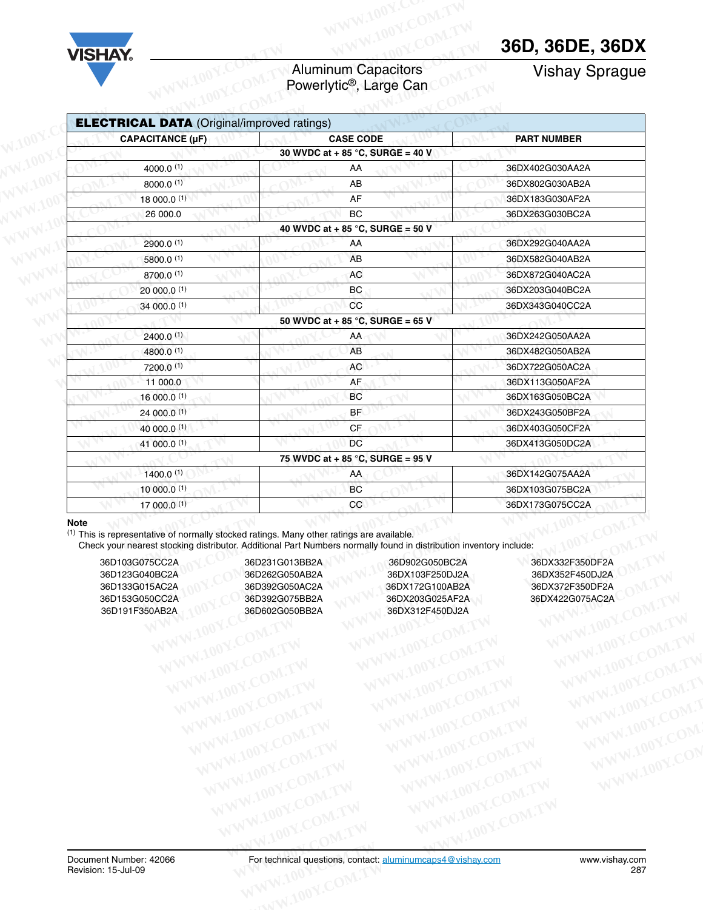## Aluminum Capacitors Aluminum Capacitors<br>
Powerlytic®, Large Can COMPTAN Vishay Sprague<br>
References

| <b>Aluminum Capacitors</b><br>Powerlytic <sup>®</sup> , Large Can<br><b>CASE CODE</b><br>30 WVDC at + 85 °C, SURGE = 40 V<br>AA<br>AB | <b>Vishay Sprague</b><br><b>PART NUMBER</b>                                                                                                                                                                                                                                                                                                                                         |
|---------------------------------------------------------------------------------------------------------------------------------------|-------------------------------------------------------------------------------------------------------------------------------------------------------------------------------------------------------------------------------------------------------------------------------------------------------------------------------------------------------------------------------------|
|                                                                                                                                       |                                                                                                                                                                                                                                                                                                                                                                                     |
|                                                                                                                                       |                                                                                                                                                                                                                                                                                                                                                                                     |
|                                                                                                                                       |                                                                                                                                                                                                                                                                                                                                                                                     |
|                                                                                                                                       |                                                                                                                                                                                                                                                                                                                                                                                     |
|                                                                                                                                       | 36DX402G030AA2A                                                                                                                                                                                                                                                                                                                                                                     |
|                                                                                                                                       | 36DX802G030AB2A                                                                                                                                                                                                                                                                                                                                                                     |
| AF                                                                                                                                    | 36DX183G030AF2A                                                                                                                                                                                                                                                                                                                                                                     |
| BC                                                                                                                                    | 36DX263G030BC2A                                                                                                                                                                                                                                                                                                                                                                     |
|                                                                                                                                       |                                                                                                                                                                                                                                                                                                                                                                                     |
| AA                                                                                                                                    | 36DX292G040AA2A                                                                                                                                                                                                                                                                                                                                                                     |
| AB                                                                                                                                    | 36DX582G040AB2A                                                                                                                                                                                                                                                                                                                                                                     |
| AC                                                                                                                                    | 36DX872G040AC2A                                                                                                                                                                                                                                                                                                                                                                     |
| BC                                                                                                                                    | 36DX203G040BC2A                                                                                                                                                                                                                                                                                                                                                                     |
| cc                                                                                                                                    | 36DX343G040CC2A                                                                                                                                                                                                                                                                                                                                                                     |
|                                                                                                                                       |                                                                                                                                                                                                                                                                                                                                                                                     |
| AA                                                                                                                                    | 36DX242G050AA2A                                                                                                                                                                                                                                                                                                                                                                     |
| AB                                                                                                                                    | 36DX482G050AB2A                                                                                                                                                                                                                                                                                                                                                                     |
| AC                                                                                                                                    | 36DX722G050AC2A                                                                                                                                                                                                                                                                                                                                                                     |
| AF                                                                                                                                    | 36DX113G050AF2A                                                                                                                                                                                                                                                                                                                                                                     |
| BC                                                                                                                                    | 36DX163G050BC2A                                                                                                                                                                                                                                                                                                                                                                     |
| <b>BF</b>                                                                                                                             | 36DX243G050BF2A                                                                                                                                                                                                                                                                                                                                                                     |
| <b>CF</b>                                                                                                                             | 36DX403G050CF2A                                                                                                                                                                                                                                                                                                                                                                     |
| <b>DC</b>                                                                                                                             | 36DX413G050DC2A                                                                                                                                                                                                                                                                                                                                                                     |
|                                                                                                                                       |                                                                                                                                                                                                                                                                                                                                                                                     |
| AA                                                                                                                                    | 36DX142G075AA2A                                                                                                                                                                                                                                                                                                                                                                     |
| BC                                                                                                                                    | 36DX103G075BC2A                                                                                                                                                                                                                                                                                                                                                                     |
| CC                                                                                                                                    | 36DX173G075CC2A                                                                                                                                                                                                                                                                                                                                                                     |
|                                                                                                                                       | 40 WVDC at + 85 °C, SURGE = 50 V<br>50 WVDC at + 85 °C, SURGE = 65 V<br>75 WVDC at + 85 °C, SURGE = 95 V<br>(1) This is representative of normally stocked ratings. Many other ratings are available.<br>Check your nearest stocking distributor. Additional Part Numbers normally found in distribution inventory include:<br>36D902G050BC2A<br>36DX103F250DJ2A<br>36DX172G100AB2A |

#### **Note**

| 36D103G075CC2A |  |
|----------------|--|
| 36D123G040BC2A |  |
| 36D133G015AC2A |  |
| 36D153G050CC2A |  |
| 36D191F350AB2A |  |

36D103G075CC2A 36D231G013BB2A 36D902G050BC2A 36DX332F350DF2A 00Y.COM.TW MANU COM.TW MANU COM.TW MANU 200Y.COM.TW MANU 200Y.COM.TW MANU 200Y.COM.TW MANU 200Y.COM.TW MANU 200Y.COM.TW MANU 200Y.COM.TW MANU 200Y.COM.TW MANU 200Y.COM.TW MANU 200Y.COM.TW MANU 200Y.COM.TW MANU 200Y.COM.TW **Example Statistics Many other ratings are available.**<br>
WE ARRIVE SAND SCORES AND SCORES AND SCORES AND SCORES AND SCORES AND SCORES AND SCORES AND SCORES AND SCORES AND SCORES AND SCORES AND SCORES AND SCORES AND SCORES A WWW.100Y.COM.TW **WWW.100Y.COM.TW WWW.100Y.COM.TW WWW.100Y.COM.TW WWW.100Y.COM.TW WWW.100Y.COM.TW WWW.100Y.COM.TW WWW.100Y.COM.TW WWW.100Y.COM.TW WWW.100Y.COM.TW WWW.100Y.COM.TW WWW.100Y.COM.TW WWW.100Y.COM.TW WWW.100Y.COM.** 

36D123G040BC2A 36D262G050AB2A 36DX103F250DJ2A 36DX352F450DJ2A 36D133G015AC2A 36D392G050AC2A 36DX172G100AB2A 36DX372F350DF2A 36D392G075BB2A 36DX203G025AF2A 36DX422G075AC2A 0AB2A 36D602G050BB2A 36DX312F450DJ2A WWW.100Y.COM.TW WWW.100Y.COM.TW WWW.100Y.COM.TW WWW.100Y.COM.TW WWW.100Y.COM.TW WWW.100Y.COM.TW WWW.100Y.COM.TW WWW.100Y.COM.TW WWW.100Y.COM.TW WWW.100Y.COM.TW WWW.100Y.COM.TW WWW.100Y.COM.TW WWW.100Y.COM.TW WWW.100Y.COM.T WWW.100Y.COM.TW WWW.100Y.COM.TW WWW.100Y.COM.TW WWW.100Y.COM.TW WWW.100Y.COM.TW WWW.100Y.COM.TW WWW.100Y.COM.TW WWW.100Y.COM.TW WWW.100Y.COM.TW WWW.100Y.COM.TW WWW.100Y.COM.TW WWW.100Y.COM.TW WWW.100Y.COM.TW WWW.100Y.COM.T WWW.100Y.COM.TW WWW.100Y.COM.TW WWW.100Y.COM.TW WWW.100Y.COM.TW WWW.100Y.COM.TW WWW.100Y.COM.TW WWW.100Y.COM.TW WWW.100Y.COM.TW WWW.100Y.COM.TW WWW.100Y.COM.TW WWW.100Y.COM.TW WWW.100Y.COM.TW WWW.100Y.COM.TW WWW.100Y.COM.T

WWW.100Y.COM.TW WWW.100Y.COM.TW WWW.100Y.COM.TW WWW.100Y.COM.TW WWW.100Y.COM.TW WWW.100Y.COM.TW WWW.100Y.COM.TW WWW.100Y.COM.TW WWW.100Y.COM.TW WWW.100Y.COM.TW WWW.100Y.COM.TW WWW.100Y.COM.TW WWW.100Y.COM.TW WWW.100Y.COM.T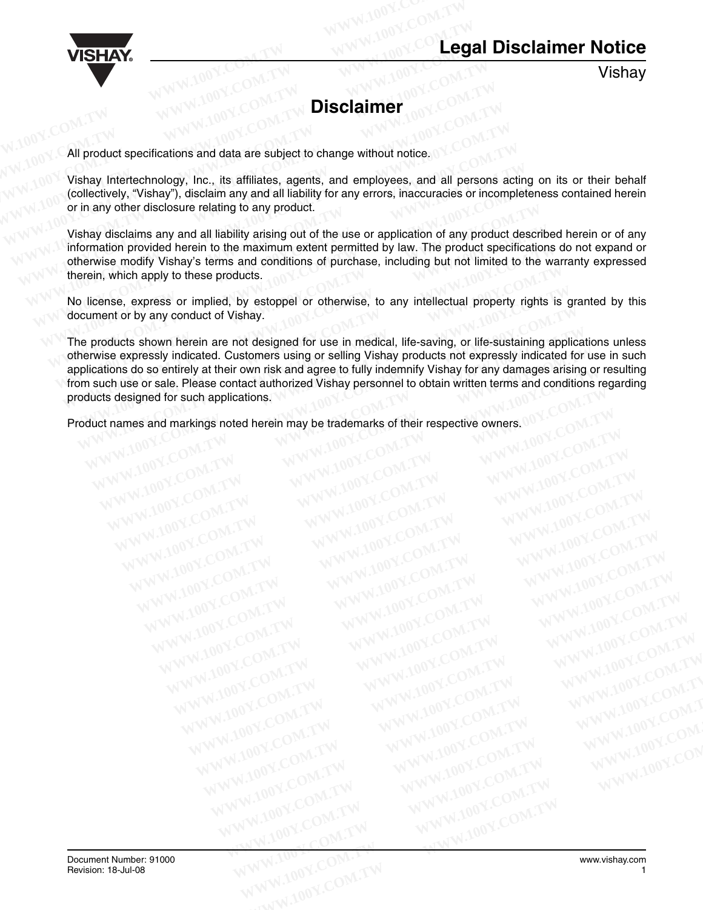

Vishay

### **Disclaimer**

All product specifications and data are subject to change without notice. **WISHAY.**<br>
WWW.100Y.COM.TW POW.COM.TW DISClaimer 00Y.COM.TW POWER PROFESSION

Vishay Intertechnology, Inc., its affiliates, agents, and employees, and all persons acting on its or their behalf (collectively, "Vishay"), disclaim any and all liability for any errors, inaccuracies or incompleteness contained herein or in any other disclosure relating to any product. **WISHAY.**<br>
WWW.100Y.COM.TW **WWW.100Y.COM.TW PROBLEM**<br>
WWW.100Y.COM.TW **Disclaimer** (00Y.COM.TW)<br>
W.100Y.COM.TW **Disclaimer** (00Y.COM.TW)<br>
W.100Y.COM.TW **Disclaimer** (00Y.COM.TW) **WISHAY.**<br>
WWW.100Y.COM.TW **WWW.100Y.COM.TW Disclaimer** 100Y.COM.TW<br>
WWW.100Y.COM.TW **Disclaimer** 100Y.COM.TW<br>
WWW.100Y.COM.TW **Disclaimer** 100Y.COM.TW<br>
WWW.100Y.COM.TW **Disclaimer** 100Y.COM.TW<br>
WWW.100Y.COM.TW **Disclaimer WISHAY.**<br> **WWW.100Y.COM.TW BISClaimer**<br> **WWW.100Y.COM.TW BISClaimer**<br> **WWW.100Y.COM.TW BISClaimer**<br> **WWW.100Y.COM.TW BISCLAIMER**<br> **WWW.100Y.COM.TW BISCLAIMER**<br> **WWW.100Y.COM.TW BISCLAIMER**<br> **WWW.100Y.COM.TW BISCLAIMER**<br> **WWW.100Y.COM.TW Disclaimer** 100Y.COM.TW **Disclaimer** 100Y.COM.TW **Disclaimer** 100Y.COM.TW **Disclaimer** 100Y.COM.TW **WWW.100Y.COM.TW WWW.100Y.COM.TW WWW.100Y.COM.TW WWW.100Y.COM.TW WWW.100Y.COM.TW WWW.100Y.COM.TW WWW.100Y.COM.TW POISCIAIMER**<br>
All product specifications and data are subject to change without notice.<br>
Vishay Intertechnology, Inc., its affiliates, agents, and employees, and all persons<br>
(collectively, "Vishay"), disc

Vishay disclaims any and all liability arising out of the use or application of any product described herein or of any information provided herein to the maximum extent permitted by law. The product specifications do not expand or otherwise modify Vishay's terms and conditions of purchase, including but not limited to the warranty expressed therein, which apply to these products. **Example 10 Yis and Solution**<br>
All product specifications and data are subject to change without notice.<br>
Vishay Intertechnology, Inc., its affiliates, agents, and employees, and all persons a<br>
(collectively, "Vishay"), di All product specifications and data are subject to change without notice.<br>Vishay Intertechnology, Inc., its affiliates, agents, and employees, and all persons at<br>(collectively, "Vishay"), disclaim any and all liability for All product specifications and data are subject to change without notice.<br>Vishay Intertechnology, Inc., its affiliates, agents, and employees, and all persons acti<br>(collectively, "Vishay"), disclaim any and all liability f Vishay Intertechnology, Inc., its affiliates, agents, and employees, and all persons actin (collectively, "Vishay"), disclaim any and all liability for any errors, inaccuracies or incomplet or in any other disclosure relat (collectively, "Vishay"), disclaim any and all liability for any errors, inaccuracies or incomplete<br>or in any other disclosure relating to any product.<br>Vishay disclaims any and all liability arising out of the use or appli

No license, express or implied, by estoppel or otherwise, to any intellectual property rights is granted by this document or by any conduct of Vishay.

The products shown herein are not designed for use in medical, life-saving, or life-sustaining applications unless otherwise expressly indicated. Customers using or selling Vishay products not expressly indicated for use in such applications do so entirely at their own risk and agree to fully indemnify Vishay for any damages arising or resulting from such use or sale. Please contact authorized Vishay personnel to obtain written terms and conditions regarding products designed for such applications. information provided herein to the maximum extent permitted by law. The product specifications<br>otherwise modify Vishay's terms and conditions of purchase, including but not limited to the wa<br>therein, which apply to these p or in any other disclosure relating to any product.<br>
Vishay disclaims any and all liability arising out of the use or application of any product descri-<br>
information provided herein to the maximum extent permitted by law. Vishay disclaims any and all liability arising out of the use or application of any product describ<br>information provided herein to the maximum extent permitted by law. The product specification<br>otherwise modify Vishay's te **Example 10** Which apply to these products.<br>
D license, express or implied, by estoppel or otherwise, to any intellectual property rights is<br>
Dicense, express or implied, by estoppel or otherwise, to any intellectual prope license, express or implied, by estoppel or otherwise, to any intellectual property rights is guy and the or by any conduct of Vishay.<br>
We products shown herein are not designed for use in medical, life-saving, or life-sus **EXERCISE AND MUNICIPY AND MUNICIPY AND MUNICIPY AND MUNICIPY AND MUNICIPY AND MUNICIPY AND MUNICIPY AND MUNICIPY AND MUNICIPY AND MUNICIPY AND MUNICIPY AND MUNICIPY AND MUNICIPY AND MUNICIPY AND MUNICIPY AND MUNICIPALISM. WWW.100Y.COM.TW REPORT COM.TW COM.TW REPORT COM.TW REPORT COM.TW REPORT COM.TW REPORT COM.TW REPORT COM.TW REPORT COM.TW REPORT COM.TW REPORT COMPUTER NATIONAL COMPUTER NATIONAL COMPUTER NATIONAL COMPUTER NATIONAL COMPUTE WWW.100Y.COM.TW COM.TW COM.TW WWW.100Y.COM.TW COM.TW WWW.100Y.COM.TW WWW.100Y.COM.TW REAGANGLE HOW COM.TW REAGANGLE HOW COM.TW REAGANGLE HOW COMPANY MUSIC COMPANY MUSIC COMPANY MUSIC COMPANY MUSIC COMPANY MUSIC COMPANY MU WWW.100Y.COM.TW ANWW.100Y.COM.TW ANWW.100Y.COM.TW ANWW.100Y.COM.TW ANWW.100Y.COM.TW ANWW.100Y.COM.TW ANWW.100Y.COM.TW ANWW.100Y.COM.TW ANWW.100Y.COM.TW ANWW.100Y.COM.TW ANWW.100Y.COM.TW ANWW.100Y.COM.TW ANWW.100Y.COM.TW A Exigned for such applications,**<br>
WWW.100Y.COM.TW 
WWW.100Y.COM.TW 
WWW.100Y.COM.TW<br>
WWW.100Y.COM.TW 
WWW.100Y.COM.TW 
WWW.100Y.COM.TW<br>
WWW.100Y.COM.TW 
WWW.100Y.COM.TW 
WWW.100Y.COM.TW<br>
WWW.100Y.COM.TW 
WWW.100Y.COM.TW 
W

**EXAMPLE AND PROPERTY WWW.100Y.COM.TW WWW.100Y.COM.TW WWW.100Y.COM.TW WWW.100Y.COM.TW WWW.100Y.COM.TW WWW.100Y.COM.TW WWW.100Y.COM.TW WWW.100Y.COM.TW WWW.100Y.COM.TW WWW.100Y.COM.TW WWW.100Y.COM.TW WWW.100Y.COM.TW WWW.100Y** WWW.100Y.COM.TW WWW.100Y.COM.TW WWW.100Y.COM.TW WWW.100Y.COM.TW WWW.100Y.COM.TW WWW.100Y.COM.TW WWW.100Y.COM.TW WWW.100Y.COM.TW WWW.100Y.COM.TW WWW.100Y.COM.TW WWW.100Y.COM.TW WWW.100Y.COM.TW WWW.100Y.COM.TW WWW.100Y.COM.T WWW.100Y.COM.TW WWW.100Y.COM.TW WWW.100Y.COM.TW WWW.100Y.COM.TW WWW.100Y.COM.TW WWW.100Y.COM.TW WWW.100Y.COM.TW WWW.100Y.COM.TW WWW.100Y.COM.TW WWW.100Y.COM.TW WWW.100Y.COM.TW WWW.100Y.COM.TW WWW.100Y.COM.TW WWW.100Y.COM.T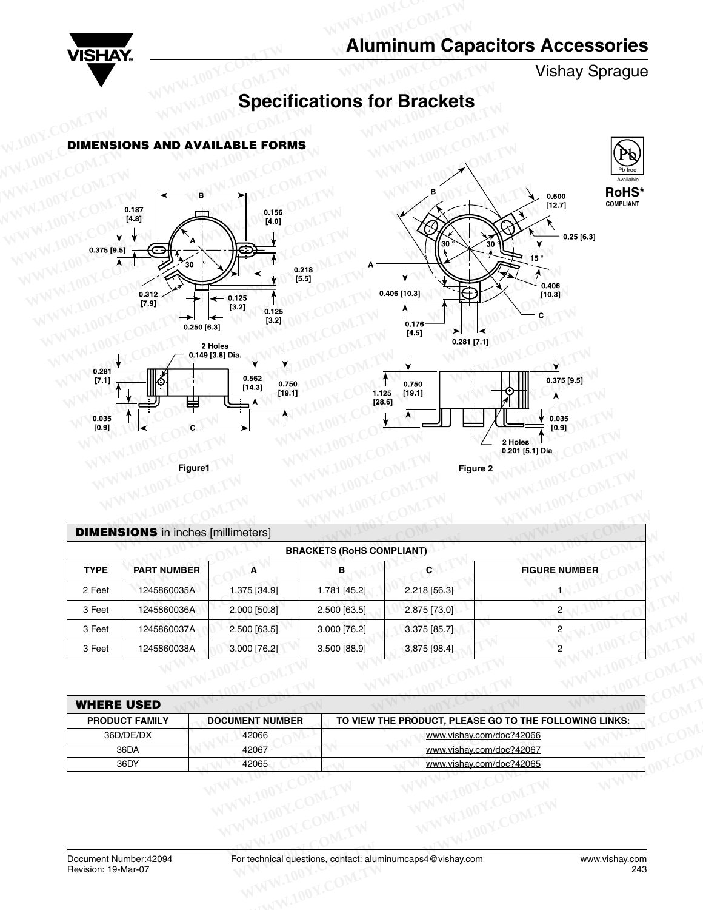

Vishay Sprague

Available Pb-free **RoHS\* COMPLIANT**

# **Specifications for Brackets WISHAY.**<br>
WISHAY.<br>
DIMENSIONS AND AVAILABLE FORMS<br>
COMENSIONS AND AVAILABLE FORMS









| 0.035<br>[0.9] | Щ<br>田<br>Figure1                         | [19.1]                          | 1.125<br>[28.6]                  | [19.1]<br>Figure 2       | 0.035<br>[0.9]<br>2 Holes<br>0.201 [5.1] Dia.                                      |
|----------------|-------------------------------------------|---------------------------------|----------------------------------|--------------------------|------------------------------------------------------------------------------------|
|                | <b>DIMENSIONS</b> in inches [millimeters] |                                 | <b>BRACKETS (RoHS COMPLIANT)</b> |                          |                                                                                    |
| <b>TYPE</b>    | <b>PART NUMBER</b>                        | $\overline{A}$                  | в                                | C                        | <b>FIGURE NUMBER</b>                                                               |
| 2 Feet         | 1245860035A                               | 1.375 [34.9]                    | 1.781 [45.2]                     | 2.218 [56.3]             | 1                                                                                  |
| 3 Feet         | 1245860036A                               | 2.000 [50.8]                    | 2.500 [63.5]                     | 2.875 [73.0]             | $\overline{c}$                                                                     |
| 3 Feet         | 1245860037A                               | 2.500 [63.5]                    | 3.000 [76.2]                     | 3.375 [85.7]             | $\mathbf{2}$                                                                       |
| 3 Feet         | 1245860038A                               | 3.000 [76.2]                    | 3.500 [88.9]                     | 3.875 [98.4]             | $\overline{c}$                                                                     |
|                | <b>WHERE USED</b>                         |                                 |                                  |                          |                                                                                    |
|                | <b>PRODUCT FAMILY</b><br>36D/DE/DX        | <b>DOCUMENT NUMBER</b><br>42066 |                                  |                          | TO VIEW THE PRODUCT, PLEASE GO TO THE FOLLOWING LINKS:<br>www.vishay.com/doc?42066 |
|                | 36DA                                      | 42067                           |                                  | www.vishay.com/doc?42067 |                                                                                    |

| - 1 001                                       | $1 - 10000000011$                                                                                         | $1.010$ [07.0]                    | ן ∟…טידן ייטי                |                                                            |                       |  |  |  |  |  |  |  |  |  |  |
|-----------------------------------------------|-----------------------------------------------------------------------------------------------------------|-----------------------------------|------------------------------|------------------------------------------------------------|-----------------------|--|--|--|--|--|--|--|--|--|--|
| 3 Feet                                        | 1245860036A                                                                                               | 2.000 [50.8]                      | 2.500 [63.5]                 | 2.875 [73.0]                                               | 2 <sub>1</sub>        |  |  |  |  |  |  |  |  |  |  |
| 3 Feet                                        | 1245860037A                                                                                               | 2.500 [63.5]                      | 3.000 [76.2]<br>3.375 [85.7] | $\overline{c}$                                             |                       |  |  |  |  |  |  |  |  |  |  |
| 3 Feet                                        | 1245860038A                                                                                               | 3.000 [76.2]                      | 3.500 [88.9]                 | $\overline{2}$<br>3.875 [98.4]                             |                       |  |  |  |  |  |  |  |  |  |  |
|                                               |                                                                                                           |                                   |                              |                                                            |                       |  |  |  |  |  |  |  |  |  |  |
| <b>WHERE USED</b>                             |                                                                                                           |                                   |                              |                                                            |                       |  |  |  |  |  |  |  |  |  |  |
|                                               | <b>DOCUMENT NUMBER</b><br>TO VIEW THE PRODUCT, PLEASE GO TO THE FOLLOWING LINKS:<br><b>PRODUCT FAMILY</b> |                                   |                              |                                                            |                       |  |  |  |  |  |  |  |  |  |  |
| 36D/DE/DX                                     |                                                                                                           | 42066<br>www.vishay.com/doc?42066 |                              |                                                            |                       |  |  |  |  |  |  |  |  |  |  |
| 36DA                                          |                                                                                                           | 42067                             |                              | www.vishay.com/doc?42067                                   |                       |  |  |  |  |  |  |  |  |  |  |
| 36DY                                          |                                                                                                           | 42065                             |                              | www.vishay.com/doc?42065                                   |                       |  |  |  |  |  |  |  |  |  |  |
|                                               |                                                                                                           |                                   |                              |                                                            |                       |  |  |  |  |  |  |  |  |  |  |
| Document Number: 42094<br>Revision: 19-Mar-07 |                                                                                                           |                                   |                              | For technical questions, contact: aluminumcaps4@vishay.com | www.vishay.com<br>243 |  |  |  |  |  |  |  |  |  |  |